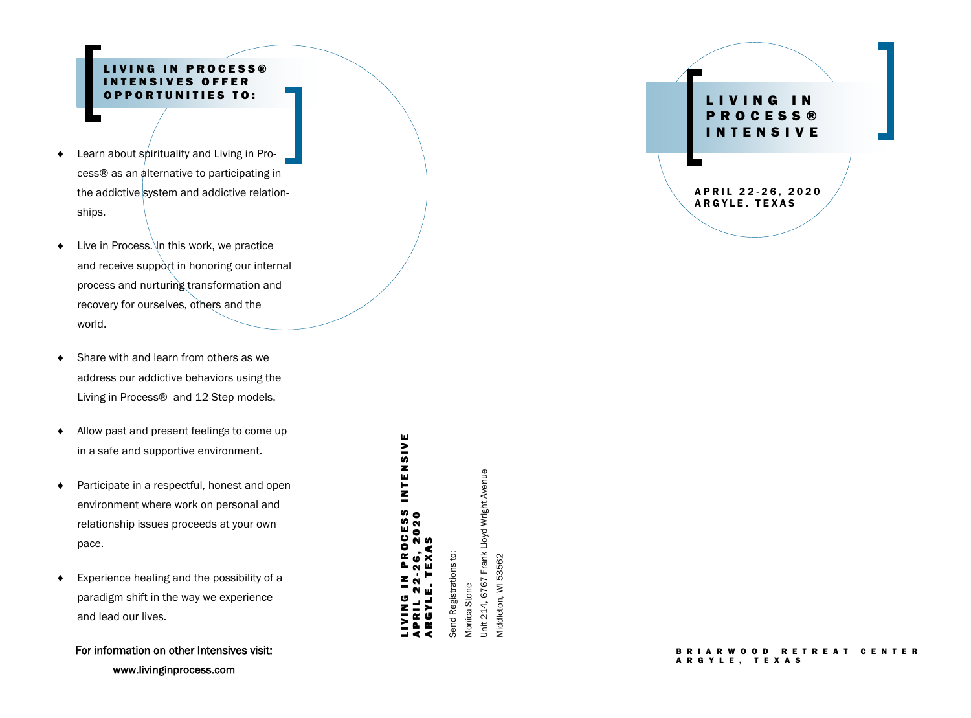### PROCESS® **INTENSIVES OFFER** OPPORTUNITIES TO:

- ◆ Learn about spirituality and Living in Process® as an alternative to participating in the addictive system and addictive relationships.
- $\bullet$  Live in Process. In this work, we practice and receive support in honoring our internal process and nurturing transformation and recovery for ourselves, others and the world.
- ◆ Share with and learn from others as we address our addictive behaviors using the Living in Process® and 12 -Step models.
- Allow past and present feelings to come up in a safe and supportive environment.
- ◆ Participate in a respectful, honest and open environment where work on personal and relationship issues proceeds at your own pace.
- Experience healing and the possibility of a paradigm shift in the way we experience and lead our lives.

For information on other Intensives visit: www.livinginprocess.com

# L I V I N G I N P R O C E S S I N T E N S I V E A P R I L 22-26, 2020 LIVING IN PROCESS IN<br>April 22-26, 2020<br>Argyle. Texas LIVING IN PROCESS INTENSIVE<br>April 22-26, 2020 A RG Y L E. TEX A S

Unit 214, 6767 Frank Lloyd Wright Avenue Unit 214, 6767 Frank Lloyd Wright Avenue Send Registrations to: Send Registrations to: Middleton, WI 53562 Middleton, WI 53562 Monica Stone